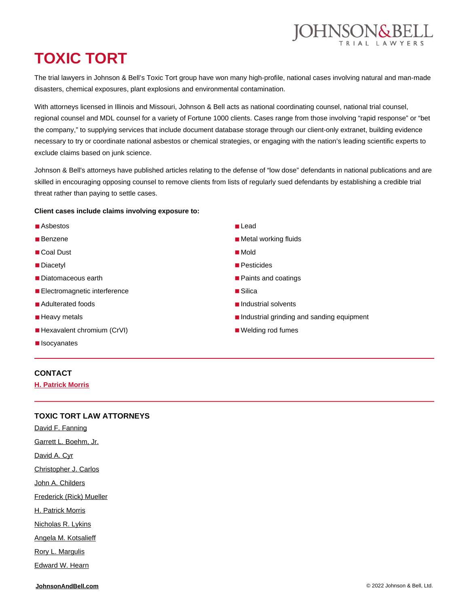

# **TOXIC TORT**

The trial lawyers in Johnson & Bell's Toxic Tort group have won many high-profile, national cases involving natural and man-made disasters, chemical exposures, plant explosions and environmental contamination.

With attorneys licensed in Illinois and Missouri, Johnson & Bell acts as national coordinating counsel, national trial counsel, regional counsel and MDL counsel for a variety of Fortune 1000 clients. Cases range from those involving "rapid response" or "bet the company," to supplying services that include document database storage through our client-only extranet, building evidence necessary to try or coordinate national asbestos or chemical strategies, or engaging with the nation's leading scientific experts to exclude claims based on junk science.

Johnson & Bell's attorneys have published articles relating to the defense of "low dose" defendants in national publications and are skilled in encouraging opposing counsel to remove clients from lists of regularly sued defendants by establishing a credible trial threat rather than paying to settle cases.

#### **Client cases include claims involving exposure to:**

- Asbestos
- Benzene
- Coal Dust
- Diacetvl
- Diatomaceous earth
- Electromagnetic interference
- Adulterated foods
- Heavy metals
- Hexavalent chromium (CrVI)
- **Isocyanates**
- Lead
- Metal working fluids
- Mold
- Pesticides
- Paints and coatings
- Silica
- Industrial solvents
- Industrial grinding and sanding equipment
- Welding rod fumes

### **CONTACT**

**[H. Patrick Morris](https://johnsonandbell.com/attorneys/h-patrick-morris/)**

#### **TOXIC TORT LAW ATTORNEYS**

[David F. Fanning](https://johnsonandbell.com/attorneys/david-f-fanning/) [Garrett L. Boehm, Jr.](https://johnsonandbell.com/attorneys/garrett-l-boehm-jr/) [David A. Cyr](https://johnsonandbell.com/attorneys/david-a-cyr/) [Christopher J. Carlos](https://johnsonandbell.com/attorneys/christopher-j-carlos/) [John A. Childers](https://johnsonandbell.com/attorneys/john-a-childers/) [Frederick \(Rick\) Mueller](https://johnsonandbell.com/attorneys/frederick-rick-mueller/) [H. Patrick Morris](https://johnsonandbell.com/attorneys/h-patrick-morris/) [Nicholas R. Lykins](https://johnsonandbell.com/attorneys/nicholas-r-lykins/) [Angela M. Kotsalieff](https://johnsonandbell.com/attorneys/angela-m-kotsalieff/) [Rory L. Margulis](https://johnsonandbell.com/attorneys/rory-l-margulis/)

[Edward W. Hearn](https://johnsonandbell.com/attorneys/edward-w-hearn/)